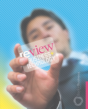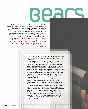## **BEA**

In the ever-evolving world of Information Technology (IT), career possibilities are no longer limited to programmers writing code, fighting viruses or encrypting personal information. All companies from restaurants and retail outlets to universities and hospitals must use technology for direct communication with their customers, clients and employees to stay competitive. The faster the word gets out, the better. This urgent need has created a whole gamut of niche IT professionals and the demand has made these opportunities quite exciting and lucrative. Baylor Business alumni J. Martin, Don Kersting and Ben Lamm are riding this new wave of highly concentrated IT. Everyday they are behind the screens of e-learning and interactive marketing.

> J. Martin, BBA 1999 in Performance Improvement Technology, is a consultant for Jamcorp Solutions, LP, a company he owns in San Antonio.

"My first class with Dr. Mo in 1998 got me hooked on the e-learning industry and a career in IT," said Martin. Like Lamm and Kersting, Martin became passionate about the field after taking classes under Dr. James Moshinkskie, "Dr. Mo" as he is known to the students. Moshinskie recently retired from his posts at the Hankamer School of Business, but remains an e-learning consultant.

"Dr. Mo taught me all I know," said Lamm, BBA 2004 in Finance with a concentration in IT, who owns Simply Interactive in Waco. "I work closely with him today on e-learning projects. We have a great, symbiotic relationship. He is a great friend, mentor and teacher."

At Jamcorp Solutions, Martin is responsible for a small contract work as a web producer with a team of business, marketing and IT professionals for USAA.com, among other clients. His team produces in-house e-learning and company Web sites.

"My first business contract gave me the opportunity to work with the Air Force. For three years, I worked with a great team of people as we designed, developed and launched an e-learning system that is used by airmen across the globe," said Martin. "Today, I enjoy working with people and finding the right technology that meets their needs. It is a thrill helping clients find solutions that work – whether it is placing learning on the web, designing custom websites, or managing IT projects for my clients," he said.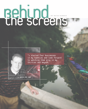## Behund

"I started four businesses in my twenties and look forward to watching them grow in my thirties and beyond,"

J. Martin BBa 1999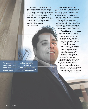Martin met his wife April, BBA 2000, while attending Baylor business classes together. They dreamed of owning their own business someday – and it didn't take that long. They opened their first company in 2002 and now own three small businesses together along with a movie production company started with Martin's brother, Josh, in 2005. Martin takes pleasure in the thrills and personal growth of being an IT entrepreneur.

Ben Lamm BBa 2004

"I needed the freedom to make decisions now, not 10 years from now when I had gained some experience in the organization."

"I started four businesses in my twenties and look forward to watching them grow in my thirties and beyond," said Martin. "I enjoy the learning, the pace, the challenges and the sense of accomplishment with this business. I also find it appealing when the checks actually show up."

Lamm knows what it feels like to get your first big break. He started Simply Interactive as a class project at the business school. The company they did

the project for was so impressed they offered Lamm a six-figure contract for the work.

"That first client gave us capital to get established," said Lamm. "Unlike most businesses, we didn't have to raise or borrow money to get started. We have been profitable from day one; we are cash heavy – no debt. That was our biggest jump-start."

At Simply Interactive, Lamm is responsible for all client interactions and managing the technical team responsible for developing his company's services, which provide interactive marketing and e-learning services to a number of retail companies. Lamm recognizes the role of interactive marketing in establishing brand loyalty with the young consumer. He works with companies to conceptualize fun and engaging interactive games, online contests, giveaways and other targeted campaigns to meet their business objectives. Simply Interactive